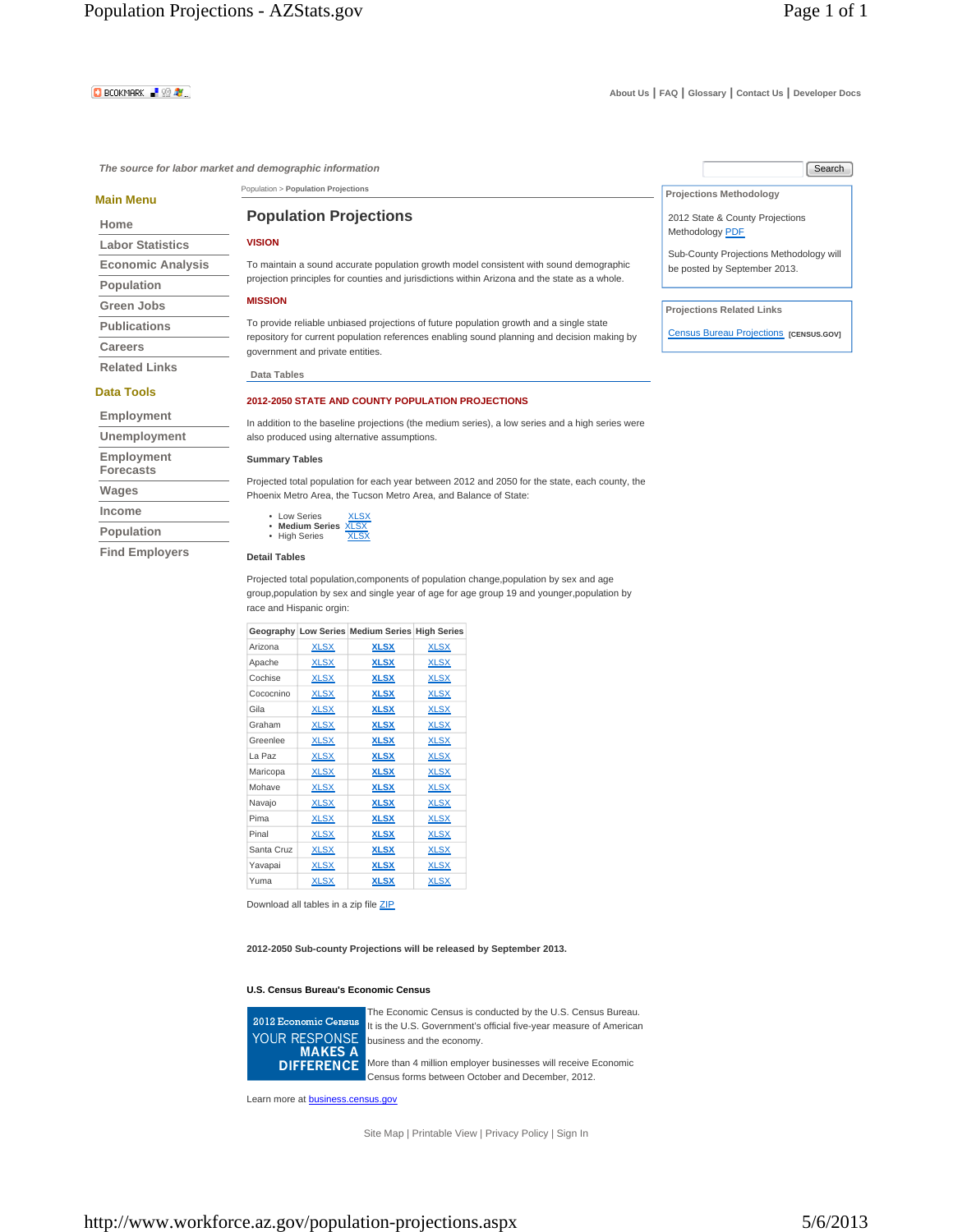# **D** BCOKMARK **R** 99 AV

**The source for labor market and demographic information** 

### **Main Menu**

### **Home**

| <b>Labor Statistics</b>  |
|--------------------------|
| <b>Economic Analysis</b> |
| <b>Population</b>        |
| Green Jobs               |
| <b>Publications</b>      |
| Careers                  |
| <b>Related Links</b>     |

### **Data Tools**

| Unemployment                   |
|--------------------------------|
| Employment<br><b>Forecasts</b> |
| Wages                          |
| Income                         |
| Population                     |

**Find Employers**

# **Population Projections**

Population > **Population Projections**

### **VISION**

To maintain a sound accurate population growth model consistent with sound demographic projection principles for counties and jurisdictions within Arizona and the state as a whole.

## **MISSION**

To provide reliable unbiased projections of future population growth and a single state repository for current population references enabling sound planning and decision making by government and private entities.

**Data Tables**

### **2012-2050 STATE AND COUNTY POPULATION PROJECTIONS**

In addition to the baseline projections (the medium series), a low series and a high series were also produced using alternative assumptions.

# **Summary Tables**

Projected total population for each year between 2012 and 2050 for the state, each county, the Phoenix Metro Area, the Tucson Metro Area, and Balance of State:

| Low Series                | <b>XLSX</b> |
|---------------------------|-------------|
| <b>Medium Series XLSX</b> |             |
| <b>High Series</b>        | <b>XLSX</b> |

### **Detail Tables**

Projected total population,components of population change,population by sex and age group,population by sex and single year of age for age group 19 and younger,population by race and Hispanic orgin:

|            |             | Geography Low Series Medium Series High Series |             |
|------------|-------------|------------------------------------------------|-------------|
| Arizona    | <b>XLSX</b> | <u>XLSX</u>                                    | <b>XLSX</b> |
| Apache     | <b>XLSX</b> | <u>XLSX</u>                                    | <b>XLSX</b> |
| Cochise    | <b>XLSX</b> | <b>XLSX</b>                                    | <b>XLSX</b> |
| Cococnino  | <b>XLSX</b> | <b>XLSX</b>                                    | <b>XLSX</b> |
| Gila       | <b>XLSX</b> | <u>XLSX</u>                                    | <b>XLSX</b> |
| Graham     | <b>XLSX</b> | <u>XLSX</u>                                    | <b>XLSX</b> |
| Greenlee   | <b>XLSX</b> | <u>XLSX</u>                                    | <b>XLSX</b> |
| La Paz     | <b>XLSX</b> | <b>XLSX</b>                                    | <b>XLSX</b> |
| Maricopa   | <b>XLSX</b> | <b>XLSX</b>                                    | <b>XLSX</b> |
| Mohave     | <b>XLSX</b> | <b>XLSX</b>                                    | <b>XLSX</b> |
| Navajo     | <b>XLSX</b> | <u>XLSX</u>                                    | <b>XLSX</b> |
| Pima       | <b>XLSX</b> | <b>XLSX</b>                                    | <b>XLSX</b> |
| Pinal      | <b>XLSX</b> | <b>XLSX</b>                                    | <b>XLSX</b> |
| Santa Cruz | <b>XLSX</b> | <b>XLSX</b>                                    | <b>XLSX</b> |
| Yavapai    | <b>XLSX</b> | <u>XLSX</u>                                    | <b>XLSX</b> |
| Yuma       | <b>XLSX</b> | <b>XLSX</b>                                    | <b>XLSX</b> |

Download all tables in a zip file ZIP

**2012-2050 Sub-county Projections will be released by September 2013.**

### **U.S. Census Bureau's Economic Census**



The Economic Census is conducted by the U.S. Census Bureau. It is the U.S. Government's official five-year measure of American business and the economy. More than 4 million employer businesses will receive Economic

Census forms between October and December, 2012.

Learn more at **business.census.gov** 

Site Map | Printable View | Privacy Policy | Sign In

| Search                                                                  |
|-------------------------------------------------------------------------|
| <b>Projections Methodology</b>                                          |
| 2012 State & County Projections<br>Methodology PDF                      |
| Sub-County Projections Methodology will<br>be posted by September 2013. |

**Projections Related Links** 

Census Bureau Projections **[CENSUS.GOV]**